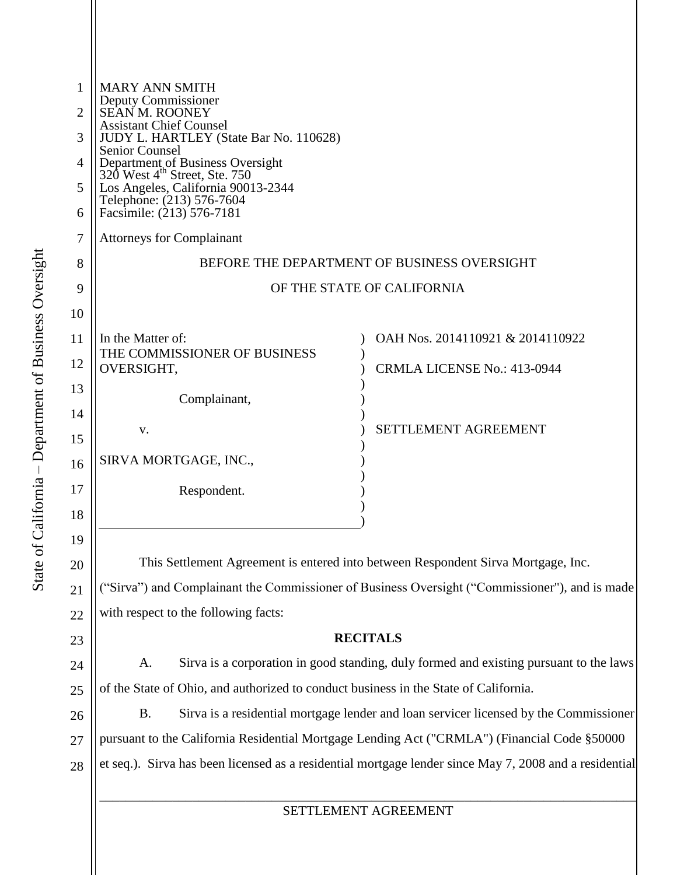| 1              | <b>MARY ANN SMITH</b>                                                                                                                            |                                                                                   |  |  |
|----------------|--------------------------------------------------------------------------------------------------------------------------------------------------|-----------------------------------------------------------------------------------|--|--|
| $\overline{2}$ | Deputy Commissioner<br>SEAN M. ROONEY                                                                                                            |                                                                                   |  |  |
| 3              | <b>Assistant Chief Counsel</b><br>JUDY L. HARTLEY (State Bar No. 110628)                                                                         |                                                                                   |  |  |
| 4              | <b>Senior Counsel</b>                                                                                                                            |                                                                                   |  |  |
| 5              | Department of Business Oversight<br>320 West 4 <sup>th</sup> Street, Ste. 750<br>Los Angeles, California 90013-2344<br>Telephone: (213) 576-7604 |                                                                                   |  |  |
| 6              | Facsimile: (213) 576-7181                                                                                                                        |                                                                                   |  |  |
| 7              | <b>Attorneys for Complainant</b>                                                                                                                 |                                                                                   |  |  |
| 8              | BEFORE THE DEPARTMENT OF BUSINESS OVERSIGHT                                                                                                      |                                                                                   |  |  |
| 9              | OF THE STATE OF CALIFORNIA                                                                                                                       |                                                                                   |  |  |
| 10             |                                                                                                                                                  |                                                                                   |  |  |
| 11             | In the Matter of:<br>THE COMMISSIONER OF BUSINESS                                                                                                | OAH Nos. 2014110921 & 2014110922                                                  |  |  |
| 12             | OVERSIGHT,                                                                                                                                       | <b>CRMLA LICENSE No.: 413-0944</b>                                                |  |  |
| 13             | Complainant,                                                                                                                                     |                                                                                   |  |  |
| 14             | V.                                                                                                                                               | SETTLEMENT AGREEMENT                                                              |  |  |
| 15             |                                                                                                                                                  |                                                                                   |  |  |
| 16             | SIRVA MORTGAGE, INC.,                                                                                                                            |                                                                                   |  |  |
| 17             | Respondent.                                                                                                                                      |                                                                                   |  |  |
| 18             |                                                                                                                                                  |                                                                                   |  |  |
| 19             |                                                                                                                                                  |                                                                                   |  |  |
| 20             |                                                                                                                                                  | This Settlement Agreement is entered into between Respondent Sirva Mortgage, Inc. |  |  |
| 21             | ("Sirva") and Complainant the Commissioner of Business Oversight ("Commissioner"), and is made                                                   |                                                                                   |  |  |
| 22             | with respect to the following facts:                                                                                                             |                                                                                   |  |  |
| 23             | <b>RECITALS</b>                                                                                                                                  |                                                                                   |  |  |
| 24             | Sirva is a corporation in good standing, duly formed and existing pursuant to the laws<br>A.                                                     |                                                                                   |  |  |
| 25             | of the State of Ohio, and authorized to conduct business in the State of California.                                                             |                                                                                   |  |  |
| 26             | <b>B.</b><br>Sirva is a residential mortgage lender and loan servicer licensed by the Commissioner                                               |                                                                                   |  |  |
| 27             | pursuant to the California Residential Mortgage Lending Act ("CRMLA") (Financial Code §50000                                                     |                                                                                   |  |  |
| 28             | et seq.). Sirva has been licensed as a residential mortgage lender since May 7, 2008 and a residential                                           |                                                                                   |  |  |
|                |                                                                                                                                                  |                                                                                   |  |  |
|                | SETTLEMENT AGREEMENT                                                                                                                             |                                                                                   |  |  |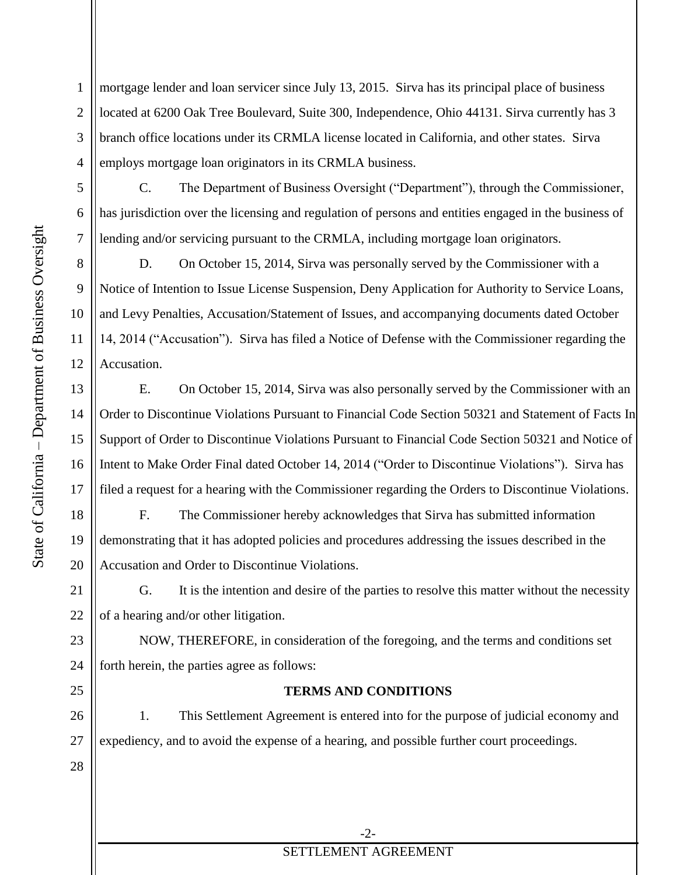mortgage lender and loan servicer since July 13, 2015. Sirva has its principal place of business located at 6200 Oak Tree Boulevard, Suite 300, Independence, Ohio 44131. Sirva currently has 3 branch office locations under its CRMLA license located in California, and other states. Sirva employs mortgage loan originators in its CRMLA business.

C. The Department of Business Oversight ("Department"), through the Commissioner, has jurisdiction over the licensing and regulation of persons and entities engaged in the business of lending and/or servicing pursuant to the CRMLA, including mortgage loan originators.

D. On October 15, 2014, Sirva was personally served by the Commissioner with a Notice of Intention to Issue License Suspension, Deny Application for Authority to Service Loans, and Levy Penalties, Accusation/Statement of Issues, and accompanying documents dated October 14, 2014 ("Accusation"). Sirva has filed a Notice of Defense with the Commissioner regarding the Accusation.

E. On October 15, 2014, Sirva was also personally served by the Commissioner with an Order to Discontinue Violations Pursuant to Financial Code Section 50321 and Statement of Facts In Support of Order to Discontinue Violations Pursuant to Financial Code Section 50321 and Notice of Intent to Make Order Final dated October 14, 2014 ("Order to Discontinue Violations"). Sirva has filed a request for a hearing with the Commissioner regarding the Orders to Discontinue Violations.

F. The Commissioner hereby acknowledges that Sirva has submitted information demonstrating that it has adopted policies and procedures addressing the issues described in the Accusation and Order to Discontinue Violations.

G. It is the intention and desire of the parties to resolve this matter without the necessity of a hearing and/or other litigation.

NOW, THEREFORE, in consideration of the foregoing, and the terms and conditions set forth herein, the parties agree as follows:

## **TERMS AND CONDITIONS**

26 27 1. This Settlement Agreement is entered into for the purpose of judicial economy and expediency, and to avoid the expense of a hearing, and possible further court proceedings.

1

2

3

4

5

6

7

8

9

10

11

12

13

14

15

16

17

18

19

20

21

22

23

24

25

28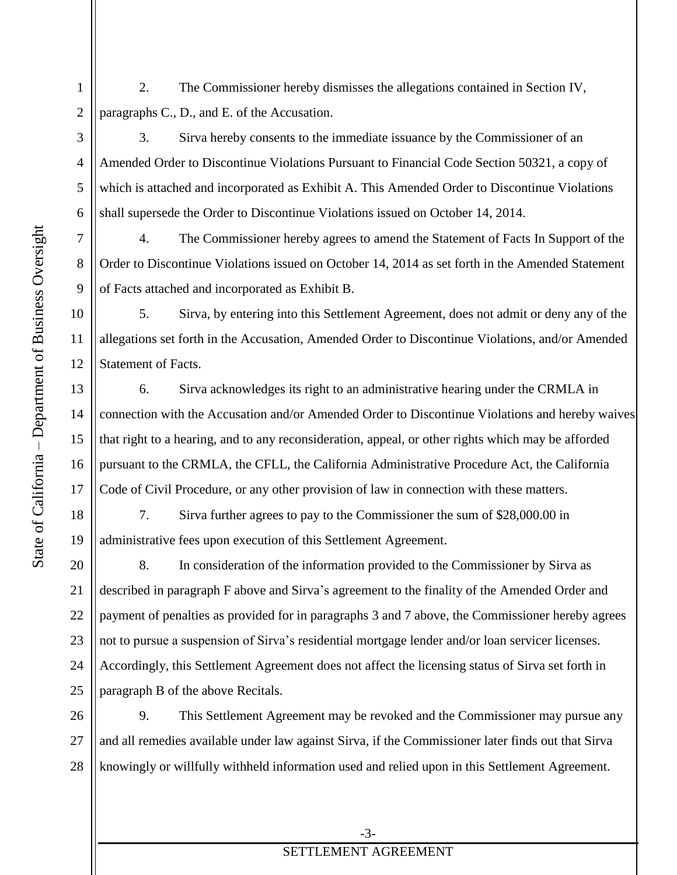2. The Commissioner hereby dismisses the allegations contained in Section IV, paragraphs C., D., and E. of the Accusation.

3. Sirva hereby consents to the immediate issuance by the Commissioner of an Amended Order to Discontinue Violations Pursuant to Financial Code Section 50321, a copy of which is attached and incorporated as Exhibit A. This Amended Order to Discontinue Violations shall supersede the Order to Discontinue Violations issued on October 14, 2014.

4. The Commissioner hereby agrees to amend the Statement of Facts In Support of the Order to Discontinue Violations issued on October 14, 2014 as set forth in the Amended Statement of Facts attached and incorporated as Exhibit B.

5. Sirva, by entering into this Settlement Agreement, does not admit or deny any of the allegations set forth in the Accusation, Amended Order to Discontinue Violations, and/or Amended Statement of Facts.

6. Sirva acknowledges its right to an administrative hearing under the CRMLA in connection with the Accusation and/or Amended Order to Discontinue Violations and hereby waives that right to a hearing, and to any reconsideration, appeal, or other rights which may be afforded pursuant to the CRMLA, the CFLL, the California Administrative Procedure Act, the California Code of Civil Procedure, or any other provision of law in connection with these matters.

7. Sirva further agrees to pay to the Commissioner the sum of \$28,000.00 in administrative fees upon execution of this Settlement Agreement.

20 21 22 23 24 25 8. In consideration of the information provided to the Commissioner by Sirva as described in paragraph F above and Sirva's agreement to the finality of the Amended Order and payment of penalties as provided for in paragraphs 3 and 7 above, the Commissioner hereby agrees not to pursue a suspension of Sirva's residential mortgage lender and/or loan servicer licenses. Accordingly, this Settlement Agreement does not affect the licensing status of Sirva set forth in paragraph B of the above Recitals.

26 27 28 9. This Settlement Agreement may be revoked and the Commissioner may pursue any and all remedies available under law against Sirva, if the Commissioner later finds out that Sirva knowingly or willfully withheld information used and relied upon in this Settlement Agreement.

1

2

3

4

5

6

7

8

9

10

11

12

13

14

15

16

17

18

19

## SETTLEMENT AGREEMENT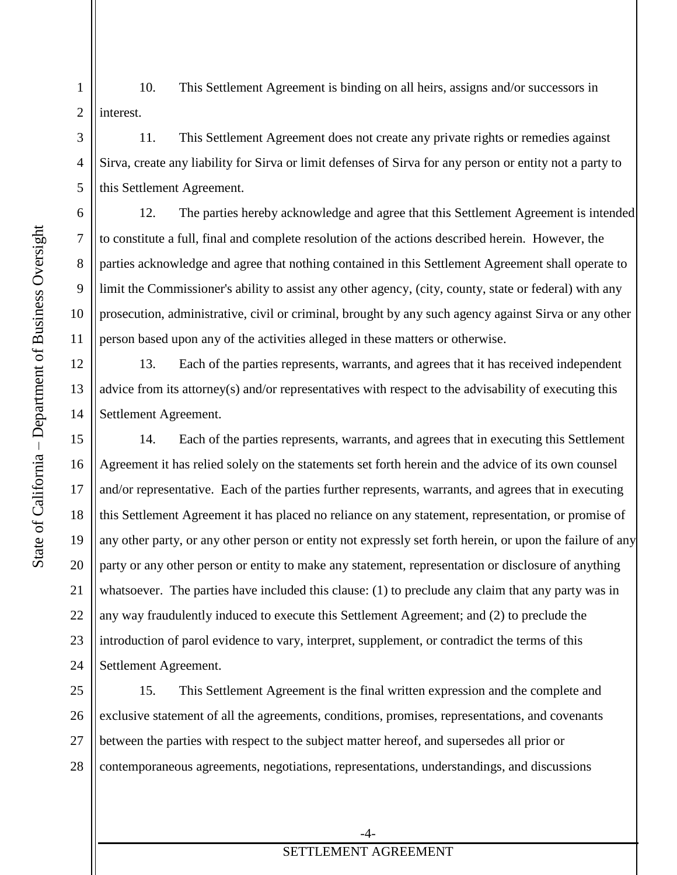3

4

5

6

7

8

9

10

11

15

16

17

18

19

20

21

22

23

24

1 2 10. This Settlement Agreement is binding on all heirs, assigns and/or successors in interest.

11. This Settlement Agreement does not create any private rights or remedies against Sirva, create any liability for Sirva or limit defenses of Sirva for any person or entity not a party to this Settlement Agreement.

12. The parties hereby acknowledge and agree that this Settlement Agreement is intended to constitute a full, final and complete resolution of the actions described herein. However, the parties acknowledge and agree that nothing contained in this Settlement Agreement shall operate to limit the Commissioner's ability to assist any other agency, (city, county, state or federal) with any prosecution, administrative, civil or criminal, brought by any such agency against Sirva or any other person based upon any of the activities alleged in these matters or otherwise.

12 13 14 13. Each of the parties represents, warrants, and agrees that it has received independent advice from its attorney(s) and/or representatives with respect to the advisability of executing this Settlement Agreement.

14. Each of the parties represents, warrants, and agrees that in executing this Settlement Agreement it has relied solely on the statements set forth herein and the advice of its own counsel and/or representative. Each of the parties further represents, warrants, and agrees that in executing this Settlement Agreement it has placed no reliance on any statement, representation, or promise of any other party, or any other person or entity not expressly set forth herein, or upon the failure of any party or any other person or entity to make any statement, representation or disclosure of anything whatsoever. The parties have included this clause: (1) to preclude any claim that any party was in any way fraudulently induced to execute this Settlement Agreement; and (2) to preclude the introduction of parol evidence to vary, interpret, supplement, or contradict the terms of this Settlement Agreement.

25 26 27 28 15. This Settlement Agreement is the final written expression and the complete and exclusive statement of all the agreements, conditions, promises, representations, and covenants between the parties with respect to the subject matter hereof, and supersedes all prior or contemporaneous agreements, negotiations, representations, understandings, and discussions

## SETTLEMENT AGREEMENT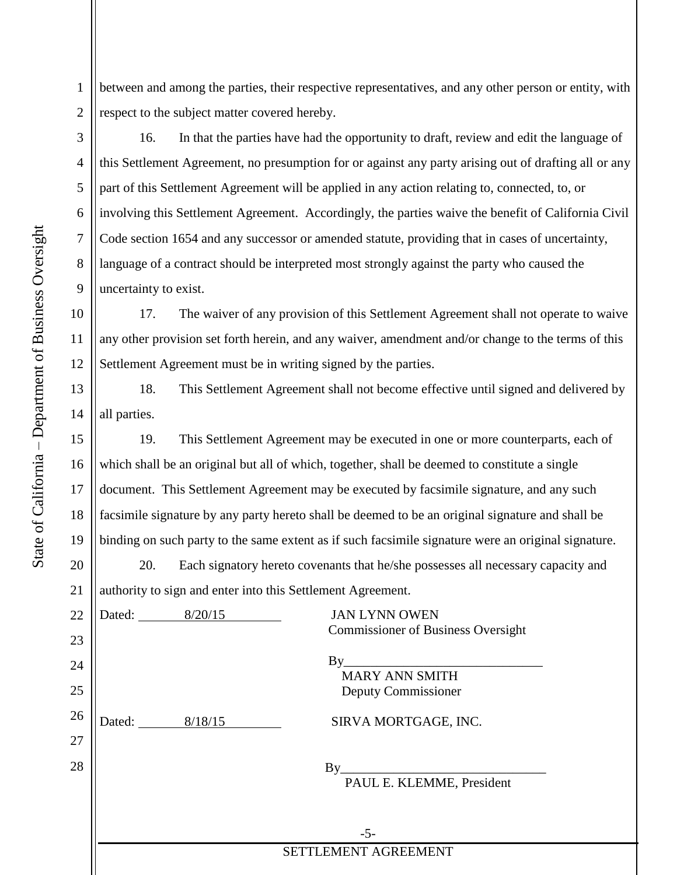between and among the parties, their respective representatives, and any other person or entity, with respect to the subject matter covered hereby.

16. In that the parties have had the opportunity to draft, review and edit the language of this Settlement Agreement, no presumption for or against any party arising out of drafting all or any part of this Settlement Agreement will be applied in any action relating to, connected, to, or involving this Settlement Agreement. Accordingly, the parties waive the benefit of California Civil Code section 1654 and any successor or amended statute, providing that in cases of uncertainty, language of a contract should be interpreted most strongly against the party who caused the uncertainty to exist.

10 12 17. The waiver of any provision of this Settlement Agreement shall not operate to waive any other provision set forth herein, and any waiver, amendment and/or change to the terms of this Settlement Agreement must be in writing signed by the parties.

18. This Settlement Agreement shall not become effective until signed and delivered by all parties.

19. This Settlement Agreement may be executed in one or more counterparts, each of which shall be an original but all of which, together, shall be deemed to constitute a single document. This Settlement Agreement may be executed by facsimile signature, and any such facsimile signature by any party hereto shall be deemed to be an original signature and shall be binding on such party to the same extent as if such facsimile signature were an original signature.

 20. Each signatory hereto covenants that he/she possesses all necessary capacity and d ontorinto this  $\mathcal{C}_{\text{at}}$  and  $\Lambda_{\text{c}}$ 

| $\angle 1$ | authority to sign and enter mo this settlement Agreement. |                |                                                                                                        |
|------------|-----------------------------------------------------------|----------------|--------------------------------------------------------------------------------------------------------|
| 22         |                                                           | Dated: 8/20/15 | <b>JAN LYNN OWEN</b>                                                                                   |
| 23         |                                                           |                | <b>Commissioner of Business Oversight</b>                                                              |
| 24         |                                                           |                | $By_$<br><b>MARY ANN SMITH</b>                                                                         |
| 25         |                                                           |                | Deputy Commissioner                                                                                    |
| 26         |                                                           | Dated: 8/18/15 | SIRVA MORTGAGE, INC.                                                                                   |
| 27         |                                                           |                |                                                                                                        |
| 28         |                                                           |                | $By_$<br><u> 1980 - Jan James James Barnett, fransk politik (d. 1980)</u><br>PAUL E. KLEMME, President |
|            |                                                           |                | $-5-$                                                                                                  |
|            |                                                           |                | SETTLEMENT AGREEMENT                                                                                   |

1

2

3

4

5

6

7

8

9

11

13

14

15

16

17

18

19

20  $21$